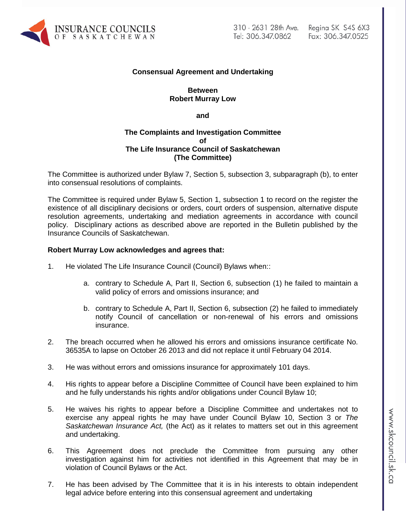

## **Consensual Agreement and Undertaking**

## **Between Robert Murray Low**

**and**

## **The Complaints and Investigation Committee of The Life Insurance Council of Saskatchewan (The Committee)**

The Committee is authorized under Bylaw 7, Section 5, subsection 3, subparagraph (b), to enter into consensual resolutions of complaints.

The Committee is required under Bylaw 5, Section 1, subsection 1 to record on the register the existence of all disciplinary decisions or orders, court orders of suspension, alternative dispute resolution agreements, undertaking and mediation agreements in accordance with council policy. Disciplinary actions as described above are reported in the Bulletin published by the Insurance Councils of Saskatchewan.

### **Robert Murray Low acknowledges and agrees that:**

- 1. He violated The Life Insurance Council (Council) Bylaws when::
	- a. contrary to Schedule A, Part II, Section 6, subsection (1) he failed to maintain a valid policy of errors and omissions insurance; and
	- b. contrary to Schedule A, Part II, Section 6, subsection (2) he failed to immediately notify Council of cancellation or non-renewal of his errors and omissions insurance.
- 2. The breach occurred when he allowed his errors and omissions insurance certificate No. 36535A to lapse on October 26 2013 and did not replace it until February 04 2014.
- 3. He was without errors and omissions insurance for approximately 101 days.
- 4. His rights to appear before a Discipline Committee of Council have been explained to him and he fully understands his rights and/or obligations under Council Bylaw 10;
- 5. He waives his rights to appear before a Discipline Committee and undertakes not to exercise any appeal rights he may have under Council Bylaw 10, Section 3 or *The Saskatchewan Insurance Act,* (the Act) as it relates to matters set out in this agreement and undertaking.
- 6. This Agreement does not preclude the Committee from pursuing any other investigation against him for activities not identified in this Agreement that may be in violation of Council Bylaws or the Act.
- 7. He has been advised by The Committee that it is in his interests to obtain independent legal advice before entering into this consensual agreement and undertaking